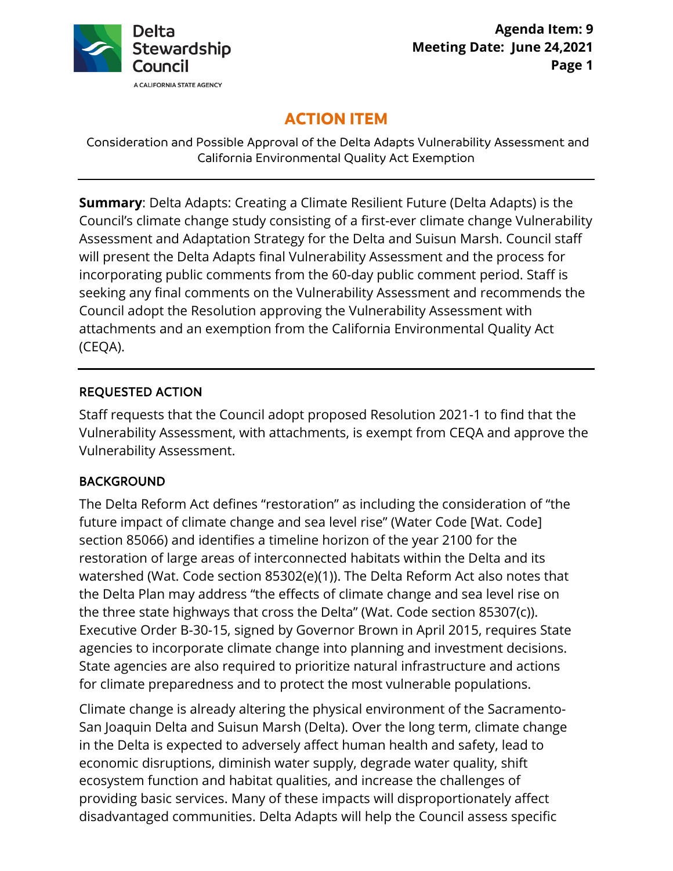

# **ACTION ITEM**

Consideration and Possible Approval of the Delta Adapts Vulnerability Assessment and California Environmental Quality Act Exemption

 attachments and an exemption from the California Environmental Quality Act **Summary**: Delta Adapts: Creating a Climate Resilient Future (Delta Adapts) is the Council's climate change study consisting of a first-ever climate change Vulnerability Assessment and Adaptation Strategy for the Delta and Suisun Marsh. Council staff will present the Delta Adapts final Vulnerability Assessment and the process for incorporating public comments from the 60-day public comment period. Staff is seeking any final comments on the Vulnerability Assessment and recommends the Council adopt the Resolution approving the Vulnerability Assessment with (CEQA).

### REQUESTED ACTION

 Staff requests that the Council adopt proposed Resolution 2021-1 to find that the Vulnerability Assessment, with attachments, is exempt from CEQA and approve the Vulnerability Assessment.

### BACKGROUND

 The Delta Reform Act defines "restoration" as including the consideration of "the section 85066) and identifies a timeline horizon of the year 2100 for the future impact of climate change and sea level rise" (Water Code [Wat. Code] restoration of large areas of interconnected habitats within the Delta and its watershed (Wat. Code section 85302(e)(1)). The Delta Reform Act also notes that the Delta Plan may address "the effects of climate change and sea level rise on the three state highways that cross the Delta" (Wat. Code section 85307(c)). Executive Order B-30-15, signed by Governor Brown in April 2015, requires State agencies to incorporate climate change into planning and investment decisions. State agencies are also required to prioritize natural infrastructure and actions for climate preparedness and to protect the most vulnerable populations.

Climate change is already altering the physical environment of the Sacramento-San Joaquin Delta and Suisun Marsh (Delta). Over the long term, climate change in the Delta is expected to adversely affect human health and safety, lead to economic disruptions, diminish water supply, degrade water quality, shift ecosystem function and habitat qualities, and increase the challenges of providing basic services. Many of these impacts will disproportionately affect disadvantaged communities. Delta Adapts will help the Council assess specific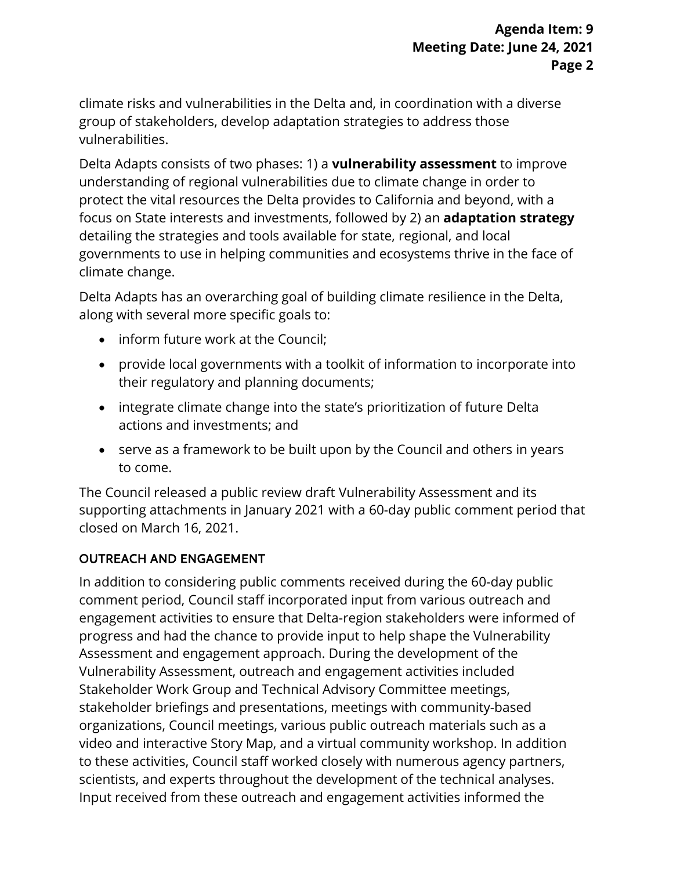climate risks and vulnerabilities in the Delta and, in coordination with a diverse group of stakeholders, develop adaptation strategies to address those vulnerabilities.

Delta Adapts consists of two phases: 1) a **vulnerability assessment** to improve understanding of regional vulnerabilities due to climate change in order to protect the vital resources the Delta provides to California and beyond, with a focus on State interests and investments, followed by 2) an **adaptation strategy**  detailing the strategies and tools available for state, regional, and local governments to use in helping communities and ecosystems thrive in the face of climate change.

Delta Adapts has an overarching goal of building climate resilience in the Delta, along with several more specific goals to:

- inform future work at the Council;
- provide local governments with a toolkit of information to incorporate into their regulatory and planning documents;
- integrate climate change into the state's prioritization of future Delta actions and investments; and
- serve as a framework to be built upon by the Council and others in years to come.

The Council released a public review draft Vulnerability Assessment and its supporting attachments in January 2021 with a 60-day public comment period that closed on March 16, 2021.

### OUTREACH AND ENGAGEMENT

 organizations, Council meetings, various public outreach materials such as a scientists, and experts throughout the development of the technical analyses. In addition to considering public comments received during the 60-day public comment period, Council staff incorporated input from various outreach and engagement activities to ensure that Delta-region stakeholders were informed of progress and had the chance to provide input to help shape the Vulnerability Assessment and engagement approach. During the development of the Vulnerability Assessment, outreach and engagement activities included Stakeholder Work Group and Technical Advisory Committee meetings, stakeholder briefings and presentations, meetings with community-based video and interactive Story Map, and a virtual community workshop. In addition to these activities, Council staff worked closely with numerous agency partners, Input received from these outreach and engagement activities informed the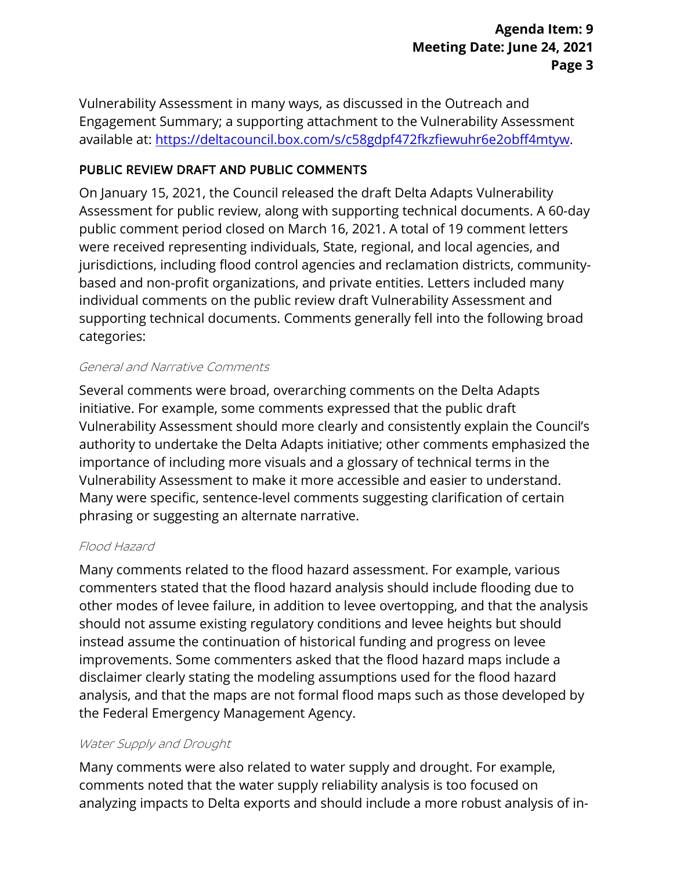Vulnerability Assessment in many ways, as discussed in the Outreach and Engagement Summary; a supporting attachment to the Vulnerability Assessment available at: [https://deltacouncil.box.com/s/c58gdpf472fkzfiewuhr6e2obff4mtyw.](https://deltacouncil.box.com/s/c58gdpf472fkzfiewuhr6e2obff4mtyw)

# PUBLIC REVIEW DRAFT AND PUBLIC COMMENTS

 jurisdictions, including flood control agencies and reclamation districts, community-On January 15, 2021, the Council released the draft Delta Adapts Vulnerability Assessment for public review, along with supporting technical documents. A 60-day public comment period closed on March 16, 2021. A total of 19 comment letters were received representing individuals, State, regional, and local agencies, and based and non-profit organizations, and private entities. Letters included many individual comments on the public review draft Vulnerability Assessment and supporting technical documents. Comments generally fell into the following broad categories:

#### General and Narrative Comments

 initiative. For example, some comments expressed that the public draft phrasing or suggesting an alternate narrative. Several comments were broad, overarching comments on the Delta Adapts Vulnerability Assessment should more clearly and consistently explain the Council's authority to undertake the Delta Adapts initiative; other comments emphasized the importance of including more visuals and a glossary of technical terms in the Vulnerability Assessment to make it more accessible and easier to understand. Many were specific, sentence-level comments suggesting clarification of certain

### Flood Hazard

 should not assume existing regulatory conditions and levee heights but should analysis, and that the maps are not formal flood maps such as those developed by Many comments related to the flood hazard assessment. For example, various commenters stated that the flood hazard analysis should include flooding due to other modes of levee failure, in addition to levee overtopping, and that the analysis instead assume the continuation of historical funding and progress on levee improvements. Some commenters asked that the flood hazard maps include a disclaimer clearly stating the modeling assumptions used for the flood hazard the Federal Emergency Management Agency.

#### Water Supply and Drought

Many comments were also related to water supply and drought. For example, comments noted that the water supply reliability analysis is too focused on analyzing impacts to Delta exports and should include a more robust analysis of in-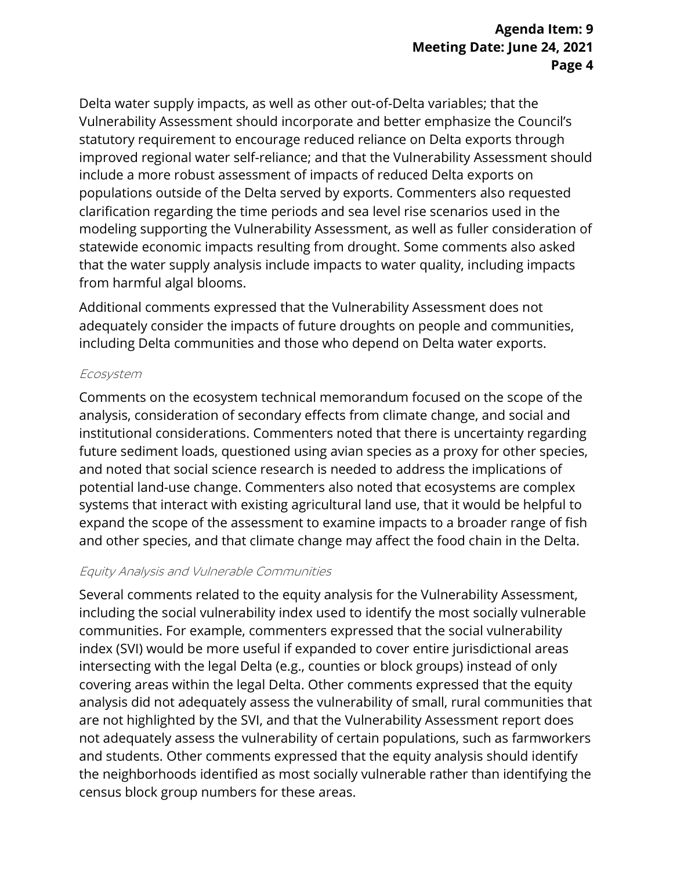# **Meeting Date: June 24, 2021 Agenda Item: 9 Page 4**

 Vulnerability Assessment should incorporate and better emphasize the Council's that the water supply analysis include impacts to water quality, including impacts Delta water supply impacts, as well as other out-of-Delta variables; that the statutory requirement to encourage reduced reliance on Delta exports through improved regional water self-reliance; and that the Vulnerability Assessment should include a more robust assessment of impacts of reduced Delta exports on populations outside of the Delta served by exports. Commenters also requested clarification regarding the time periods and sea level rise scenarios used in the modeling supporting the Vulnerability Assessment, as well as fuller consideration of statewide economic impacts resulting from drought. Some comments also asked from harmful algal blooms.

Additional comments expressed that the Vulnerability Assessment does not adequately consider the impacts of future droughts on people and communities, including Delta communities and those who depend on Delta water exports.

#### Ecosystem

 Comments on the ecosystem technical memorandum focused on the scope of the expand the scope of the assessment to examine impacts to a broader range of fish analysis, consideration of secondary effects from climate change, and social and institutional considerations. Commenters noted that there is uncertainty regarding future sediment loads, questioned using avian species as a proxy for other species, and noted that social science research is needed to address the implications of potential land-use change. Commenters also noted that ecosystems are complex systems that interact with existing agricultural land use, that it would be helpful to and other species, and that climate change may affect the food chain in the Delta.

#### Equity Analysis and Vulnerable Communities

 covering areas within the legal Delta. Other comments expressed that the equity Several comments related to the equity analysis for the Vulnerability Assessment, including the social vulnerability index used to identify the most socially vulnerable communities. For example, commenters expressed that the social vulnerability index (SVI) would be more useful if expanded to cover entire jurisdictional areas intersecting with the legal Delta (e.g., counties or block groups) instead of only analysis did not adequately assess the vulnerability of small, rural communities that are not highlighted by the SVI, and that the Vulnerability Assessment report does not adequately assess the vulnerability of certain populations, such as farmworkers and students. Other comments expressed that the equity analysis should identify the neighborhoods identified as most socially vulnerable rather than identifying the census block group numbers for these areas.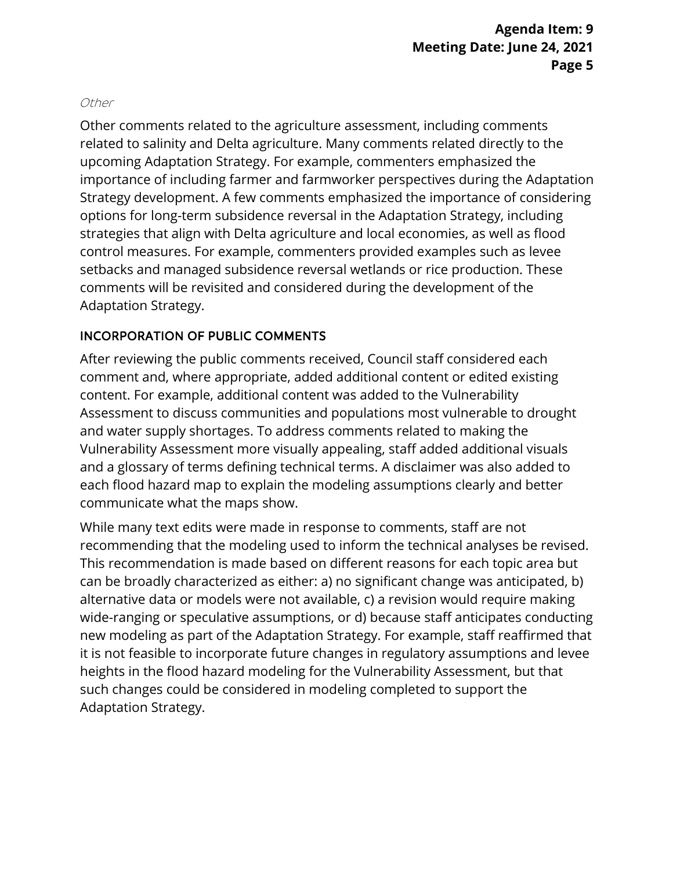#### Other

 setbacks and managed subsidence reversal wetlands or rice production. These Other comments related to the agriculture assessment, including comments related to salinity and Delta agriculture. Many comments related directly to the upcoming Adaptation Strategy. For example, commenters emphasized the importance of including farmer and farmworker perspectives during the Adaptation Strategy development. A few comments emphasized the importance of considering options for long-term subsidence reversal in the Adaptation Strategy, including strategies that align with Delta agriculture and local economies, as well as flood control measures. For example, commenters provided examples such as levee comments will be revisited and considered during the development of the Adaptation Strategy.

### INCORPORATION OF PUBLIC COMMENTS

 and a glossary of terms defining technical terms. A disclaimer was also added to After reviewing the public comments received, Council staff considered each comment and, where appropriate, added additional content or edited existing content. For example, additional content was added to the Vulnerability Assessment to discuss communities and populations most vulnerable to drought and water supply shortages. To address comments related to making the Vulnerability Assessment more visually appealing, staff added additional visuals each flood hazard map to explain the modeling assumptions clearly and better communicate what the maps show.

 While many text edits were made in response to comments, staff are not recommending that the modeling used to inform the technical analyses be revised. can be broadly characterized as either: a) no significant change was anticipated, b) alternative data or models were not available, c) a revision would require making This recommendation is made based on different reasons for each topic area but wide-ranging or speculative assumptions, or d) because staff anticipates conducting new modeling as part of the Adaptation Strategy. For example, staff reaffirmed that it is not feasible to incorporate future changes in regulatory assumptions and levee heights in the flood hazard modeling for the Vulnerability Assessment, but that such changes could be considered in modeling completed to support the Adaptation Strategy.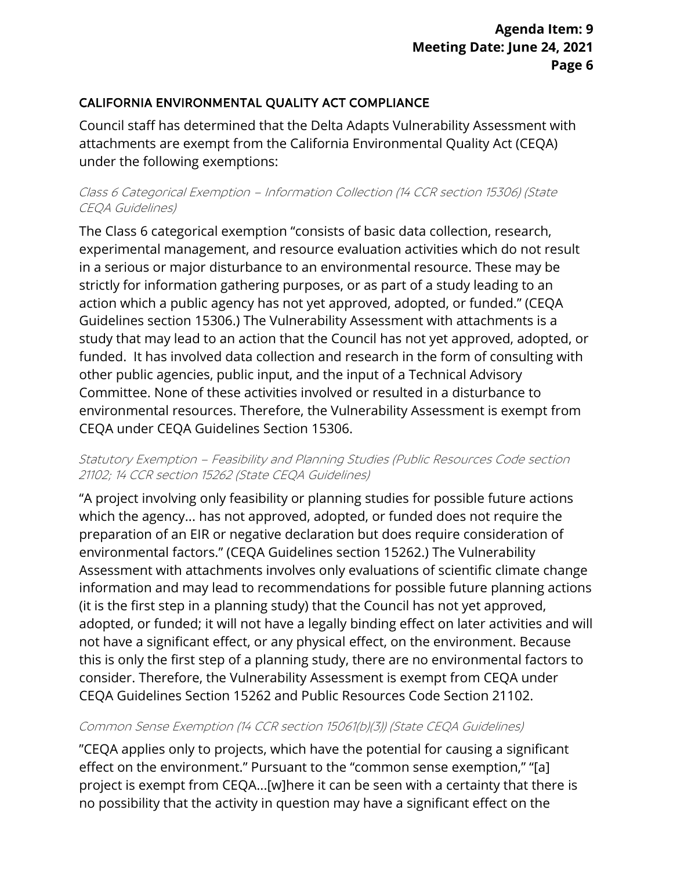# CALIFORNIA ENVIRONMENTAL QUALITY ACT COMPLIANCE

 attachments are exempt from the California Environmental Quality Act (CEQA) Council staff has determined that the Delta Adapts Vulnerability Assessment with under the following exemptions:

#### Class 6 Categorical Exemption – Information Collection (14 CCR section 15306) (State CEQA Guidelines)

 Guidelines section 15306.) The Vulnerability Assessment with attachments is a study that may lead to an action that the Council has not yet approved, adopted, or CEQA under CEQA Guidelines Section 15306. The Class 6 categorical exemption "consists of basic data collection, research, experimental management, and resource evaluation activities which do not result in a serious or major disturbance to an environmental resource. These may be strictly for information gathering purposes, or as part of a study leading to an action which a public agency has not yet approved, adopted, or funded." (CEQA funded. It has involved data collection and research in the form of consulting with other public agencies, public input, and the input of a Technical Advisory Committee. None of these activities involved or resulted in a disturbance to environmental resources. Therefore, the Vulnerability Assessment is exempt from

#### Statutory Exemption – Feasibility and Planning Studies (Public Resources Code section 21102; 14 CCR section 15262 (State CEQA Guidelines)

 "A project involving only feasibility or planning studies for possible future actions which the agency... has not approved, adopted, or funded does not require the preparation of an EIR or negative declaration but does require consideration of environmental factors." (CEQA Guidelines section 15262.) The Vulnerability Assessment with attachments involves only evaluations of scientific climate change information and may lead to recommendations for possible future planning actions (it is the first step in a planning study) that the Council has not yet approved, adopted, or funded; it will not have a legally binding effect on later activities and will not have a significant effect, or any physical effect, on the environment. Because this is only the first step of a planning study, there are no environmental factors to consider. Therefore, the Vulnerability Assessment is exempt from CEQA under CEQA Guidelines Section 15262 and Public Resources Code Section 21102.

#### Common Sense Exemption (14 CCR section 15061(b)(3)) (State CEQA Guidelines)

 "CEQA applies only to projects, which have the potential for causing a significant project is exempt from CEQA...[w]here it can be seen with a certainty that there is effect on the environment." Pursuant to the "common sense exemption," "[a] no possibility that the activity in question may have a significant effect on the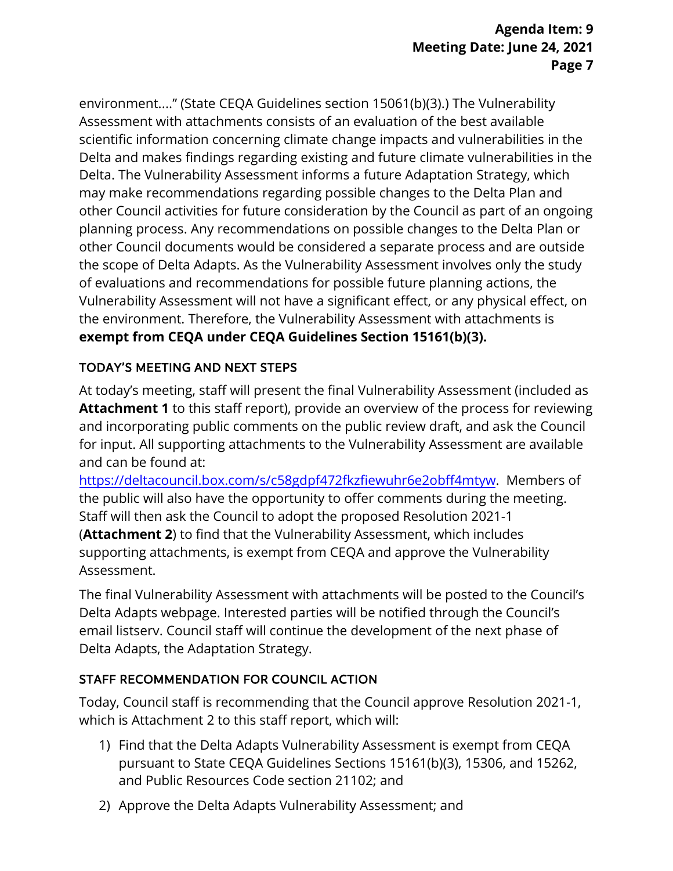Assessment with attachments consists of an evaluation of the best available environment...." (State CEQA Guidelines section 15061(b)(3).) The Vulnerability scientific information concerning climate change impacts and vulnerabilities in the Delta and makes findings regarding existing and future climate vulnerabilities in the Delta. The Vulnerability Assessment informs a future Adaptation Strategy, which may make recommendations regarding possible changes to the Delta Plan and other Council activities for future consideration by the Council as part of an ongoing planning process. Any recommendations on possible changes to the Delta Plan or other Council documents would be considered a separate process and are outside the scope of Delta Adapts. As the Vulnerability Assessment involves only the study of evaluations and recommendations for possible future planning actions, the Vulnerability Assessment will not have a significant effect, or any physical effect, on the environment. Therefore, the Vulnerability Assessment with attachments is **exempt from CEQA under CEQA Guidelines Section 15161(b)(3).** 

# TODAY'S MEETING AND NEXT STEPS

At today's meeting, staff will present the final Vulnerability Assessment (included as **Attachment 1** to this staff report), provide an overview of the process for reviewing and incorporating public comments on the public review draft, and ask the Council for input. All supporting attachments to the Vulnerability Assessment are available and can be found at:

 supporting attachments, is exempt from CEQA and approve the Vulnerability [https://deltacouncil.box.com/s/c58gdpf472fkzfiewuhr6e2obff4mtyw.](https://deltacouncil.box.com/s/c58gdpf472fkzfiewuhr6e2obff4mtyw) Members of the public will also have the opportunity to offer comments during the meeting. Staff will then ask the Council to adopt the proposed Resolution 2021-1 (**Attachment 2**) to find that the Vulnerability Assessment, which includes Assessment.

The final Vulnerability Assessment with attachments will be posted to the Council's Delta Adapts webpage. Interested parties will be notified through the Council's email listserv. Council staff will continue the development of the next phase of Delta Adapts, the Adaptation Strategy.

### STAFF RECOMMENDATION FOR COUNCIL ACTION

 Today, Council staff is recommending that the Council approve Resolution 2021-1, which is Attachment 2 to this staff report, which will:

- 1) Find that the Delta Adapts Vulnerability Assessment is exempt from CEQA pursuant to State CEQA Guidelines Sections 15161(b)(3), 15306, and 15262, and Public Resources Code section 21102; and
- 2) Approve the Delta Adapts Vulnerability Assessment; and